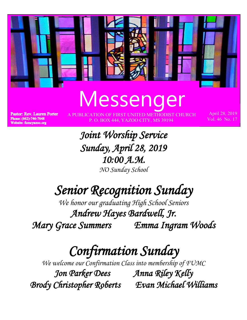

Joint Worship Service Sunday, April 28, 2019 **10:00 A.M.**<br>NO Sunday School

# **Senior Recognition Sunday**<br>We honor our graduating High School Seniors

Andrew Hayes Bardwell, Jr.

Mary Grace Summers Emma Ingram Woods

# **Confirmation Sunday**<br>We welcome our Confirmation Class into membership of FUMC

Brody Christopher Roberts Evan Michael Williams

Jon Parker Dees Anna Riley Kelly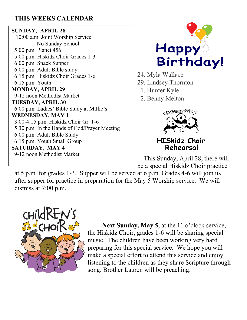### **THIS WEEKS CALENDAR**

### **SUNDAY, APRIL 28** 10:00 a.m. Joint Worship Service No Sunday School 5:00 p.m. Planet 456 5:00 p.m. Hiskidz Choir Grades 1-3 6:00 p.m. Snack Supper 6:00 p.m. Adult Bible study 6:15 p.m. Hiskidz Choir Grades 1-6 6:15 p.m. Youth **MONDAY, APRIL 29** 9-12 noon Methodist Market **TUESDAY, APRIL 30** 6:00 p.m. Ladies' Bible Study at Millie's **WEDNESDAY, MAY 1** 3:00-4:15 p.m. Hiskidz Choir Gr. 1-6 5:30 p.m. In the Hands of God/Prayer Meeting 6:00 p.m. Adult Bible Study 6:15 p.m. Youth Small Group **SATURDAY, MAY 4** 9-12 noon Methodist Market



- 24. Myla Wallace
- 29. Lindsey Thornton
	- 1. Hunter Kyle
	- 2. Benny Melton



### **HISkidz Choir** Rehearsal

 This Sunday, April 28, there will be a special Hiskidz Choir practice

at 5 p.m. for grades 1-3. Supper will be served at 6 p.m. Grades 4-6 will join us after supper for practice in preparation for the May 5 Worship service. We will dismiss at 7:00 p.m.



 **Next Sunday, May 5**, at the 11 o'clock service, the Hiskidz Choir, grades 1-6 will be sharing special music. The children have been working very hard preparing for this special service. We hope you will make a special effort to attend this service and enjoy listening to the children as they share Scripture through song. Brother Lauren will be preaching.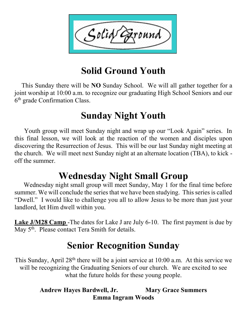

# **Solid Ground Youth**

 This Sunday there will be **NO** Sunday School. We will all gather together for a joint worship at 10:00 a.m. to recognize our graduating High School Seniors and our 6<sup>th</sup> grade Confirmation Class.

## **Sunday Night Youth**

 Youth group will meet Sunday night and wrap up our "Look Again" series. In this final lesson, we will look at the reaction of the women and disciples upon discovering the Resurrection of Jesus. This will be our last Sunday night meeting at the church. We will meet next Sunday night at an alternate location (TBA), to kick off the summer.

## **Wednesday Night Small Group**

 Wednesday night small group will meet Sunday, May 1 for the final time before summer. We will conclude the series that we have been studying. This series is called "Dwell." I would like to challenge you all to allow Jesus to be more than just your landlord, let Him dwell within you.

**Lake J/M28 Camp** -The dates for Lake J are July 6-10. The first payment is due by May  $5<sup>th</sup>$ . Please contact Tera Smith for details.

## **Senior Recognition Sunday**

This Sunday, April 28<sup>th</sup> there will be a joint service at 10:00 a.m. At this service we will be recognizing the Graduating Seniors of our church. We are excited to see what the future holds for these young people.

> **Andrew Hayes Bardwell, Jr. Mary Grace Summers Emma Ingram Woods**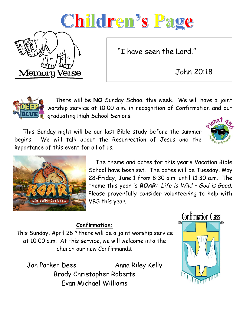# Children's Page

**Memory Verse** 

"I have seen the Lord."

John 20:18



 There will be **NO** Sunday School this week. We will have a joint worship service at 10:00 a.m. in recognition of Confirmation and our graduating High School Seniors.

 This Sunday night will be our last Bible study before the summer begins. We will talk about the Resurrection of Jesus and the importance of this event for all of us.





 The theme and dates for this year's Vacation Bible School have been set. The dates will be Tuesday, May 28-Friday, June 1 from 8:30 a.m. until 11:30 a.m. The theme this year is *ROAR: Life is Wild – God is Good.*  Please prayerfully consider volunteering to help with VBS this year.

### **Confirmation:**

This Sunday, April 28<sup>th</sup> there will be a joint worship service at 10:00 a.m. At this service, we will welcome into the church our new Confirmands.

Jon Parker Dees Anna Riley Kelly Brody Christopher Roberts Evan Michael Williams